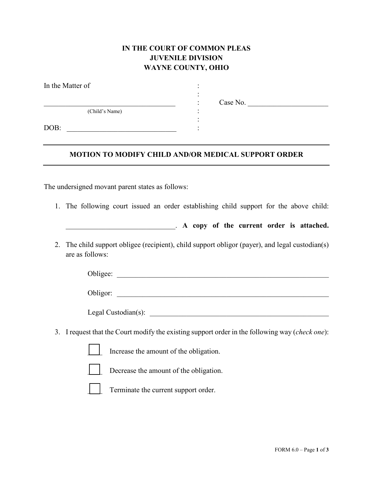## **IN THE COURT OF COMMON PLEAS JUVENILE DIVISION WAYNE COUNTY, OHIO**

| In the Matter of |                |  |
|------------------|----------------|--|
|                  |                |  |
|                  | (Child's Name) |  |
| DOB:             |                |  |

 $\therefore$  Case No.

## **MOTION TO MODIFY CHILD AND/OR MEDICAL SUPPORT ORDER**

The undersigned movant parent states as follows:

- 1. The following court issued an order establishing child support for the above child:
	- \_\_\_\_\_\_\_\_\_\_\_\_\_\_\_\_\_\_\_\_\_\_\_\_\_\_\_\_\_\_. **A copy of the current order is attached.**
- 2. The child support obligee (recipient), child support obligor (payer), and legal custodian(s) are as follows:

Obligee: \_\_\_\_\_\_\_\_\_\_\_\_\_\_\_\_\_\_\_\_\_\_\_\_\_\_\_\_\_\_\_\_\_\_\_\_\_\_\_\_\_\_\_\_\_\_\_\_\_\_\_\_\_\_\_\_\_\_

Obligor:

 $Legal$  Custodian(s):

- 3. I request that the Court modify the existing support order in the following way (*check one*):
	- \_\_\_\_ Increase the amount of the obligation.
	-

Decrease the amount of the obligation.

Terminate the current support order.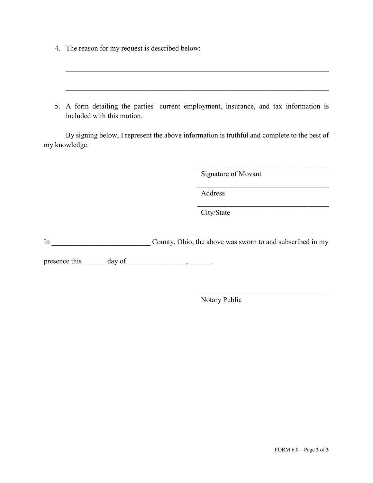- 4. The reason for my request is described below:
- 5. A form detailing the parties' current employment, insurance, and tax information is included with this motion.

 $\mathcal{L}_\text{G}$  , and the contribution of the contribution of the contribution of the contribution of the contribution of the contribution of the contribution of the contribution of the contribution of the contribution of t

By signing below, I represent the above information is truthful and complete to the best of my knowledge.

Signature of Movant

 $\mathcal{L}_\mathcal{L}$ 

 $\mathcal{L}_\mathcal{L}$ 

Address

City/State

In County, Ohio, the above was sworn to and subscribed in my

presence this  $\_\_\_\_\_\$  day of  $\_\_\_\_\_\_\_\$ .

Notary Public